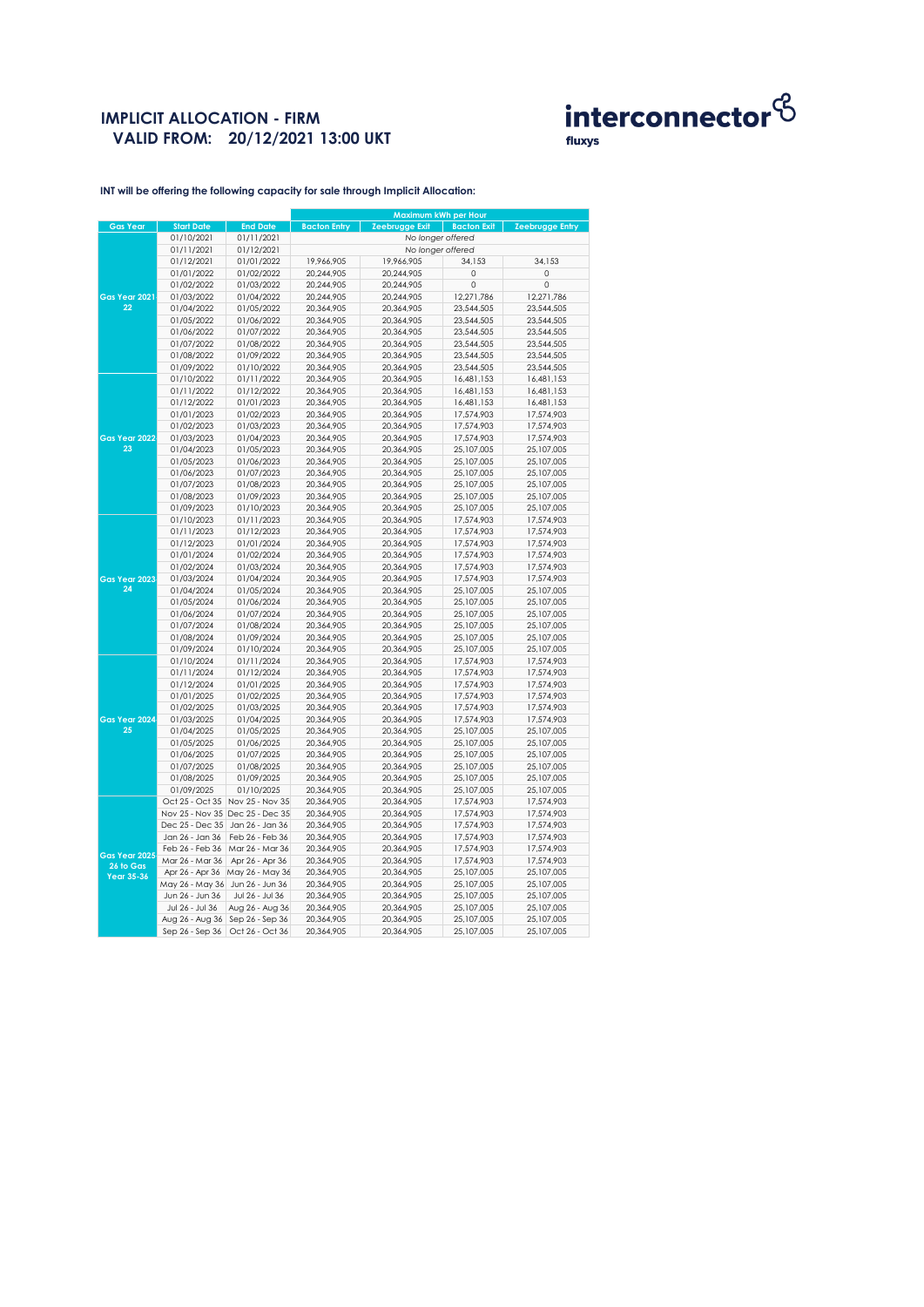# **IMPLICIT ALLOCATION - FIRM VALID FROM: 20/12/2021 13:00 UKT**



**INT will be offering the following capacity for sale through Implicit Allocation:** 

|                                                 |                                 |                                 | Maximum kWh per Hour |                       |                    |                        |
|-------------------------------------------------|---------------------------------|---------------------------------|----------------------|-----------------------|--------------------|------------------------|
| <b>Gas Year</b>                                 | <b>Start Date</b>               | <b>End Date</b>                 | <b>Bacton Entry</b>  | <b>Zeebrugge Exit</b> | <b>Bacton Exit</b> | <b>Zeebrugge Entry</b> |
|                                                 | 01/10/2021                      | 01/11/2021                      |                      | No longer offered     |                    |                        |
|                                                 | 01/11/2021                      | 01/12/2021                      | No longer offered    |                       |                    |                        |
|                                                 | 01/12/2021                      | 01/01/2022                      | 19,966,905           | 19,966,905            | 34,153             | 34,153                 |
| Gas Year 2021<br>22                             | 01/01/2022                      | 01/02/2022                      | 20,244,905           | 20,244,905            | $\mathbf 0$        | $\circ$                |
|                                                 | 01/02/2022                      | 01/03/2022                      | 20,244,905           | 20,244,905            | 0                  | $\circ$                |
|                                                 | 01/03/2022                      | 01/04/2022                      | 20,244,905           | 20,244,905            | 12,271,786         | 12,271,786             |
|                                                 | 01/04/2022                      | 01/05/2022                      | 20,364,905           | 20,364,905            | 23,544,505         | 23,544,505             |
|                                                 | 01/05/2022                      | 01/06/2022                      | 20,364,905           | 20,364,905            | 23,544,505         | 23,544,505             |
|                                                 | 01/06/2022                      | 01/07/2022                      | 20,364,905           | 20,364,905            | 23,544,505         | 23,544,505             |
|                                                 | 01/07/2022                      | 01/08/2022                      | 20,364,905           | 20,364,905            | 23,544,505         | 23,544,505             |
|                                                 | 01/08/2022                      | 01/09/2022                      | 20,364,905           | 20,364,905            | 23,544,505         | 23,544,505             |
|                                                 | 01/09/2022                      | 01/10/2022                      | 20,364,905           | 20,364,905            | 23,544,505         | 23,544,505             |
|                                                 | 01/10/2022                      | 01/11/2022                      | 20,364,905           | 20,364,905            | 16,481,153         | 16,481,153             |
|                                                 | 01/11/2022                      | 01/12/2022                      | 20,364,905           | 20,364,905            | 16,481,153         | 16,481,153             |
|                                                 | 01/12/2022                      | 01/01/2023                      | 20,364,905           | 20,364,905            | 16,481,153         | 16,481,153             |
|                                                 | 01/01/2023                      | 01/02/2023                      | 20,364,905           | 20,364,905            | 17,574,903         | 17,574,903             |
|                                                 | 01/02/2023                      | 01/03/2023                      | 20,364,905           | 20,364,905            | 17,574,903         | 17,574,903             |
| Gas Year 2022                                   | 01/03/2023                      | 01/04/2023                      | 20,364,905           | 20,364,905            | 17,574,903         | 17,574,903             |
| 23                                              | 01/04/2023                      | 01/05/2023                      | 20,364,905           | 20,364,905            | 25,107,005         | 25,107,005             |
|                                                 | 01/05/2023                      | 01/06/2023                      | 20,364,905           | 20,364,905            | 25,107,005         | 25,107,005             |
|                                                 | 01/06/2023                      | 01/07/2023                      | 20,364,905           | 20,364,905            | 25,107,005         | 25,107,005             |
|                                                 | 01/07/2023                      | 01/08/2023                      | 20,364,905           | 20,364,905            | 25,107,005         | 25,107,005             |
|                                                 | 01/08/2023                      | 01/09/2023                      | 20,364,905           | 20,364,905            | 25,107,005         | 25,107,005             |
|                                                 | 01/09/2023                      | 01/10/2023                      | 20,364,905           | 20,364,905            | 25,107,005         | 25,107,005             |
|                                                 | 01/10/2023                      | 01/11/2023                      | 20,364,905           | 20,364,905            | 17,574,903         | 17,574,903             |
|                                                 | 01/11/2023                      | 01/12/2023                      | 20,364,905           | 20,364,905            | 17,574,903         | 17,574,903             |
|                                                 | 01/12/2023                      | 01/01/2024                      | 20,364,905           | 20,364,905            | 17,574,903         | 17,574,903             |
|                                                 | 01/01/2024                      | 01/02/2024                      | 20,364,905           | 20,364,905            | 17,574,903         | 17,574,903             |
|                                                 | 01/02/2024                      | 01/03/2024                      | 20,364,905           | 20,364,905            | 17,574,903         | 17,574,903             |
| Gas Year 2023                                   | 01/03/2024                      | 01/04/2024                      | 20,364,905           | 20,364,905            | 17,574,903         | 17,574,903             |
| 24                                              | 01/04/2024                      | 01/05/2024                      | 20,364,905           | 20,364,905            | 25,107,005         | 25,107,005             |
|                                                 | 01/05/2024                      | 01/06/2024                      | 20,364,905           | 20,364,905            | 25,107,005         | 25,107,005             |
|                                                 | 01/06/2024                      | 01/07/2024                      | 20,364,905           | 20,364,905            | 25,107,005         | 25,107,005             |
|                                                 | 01/07/2024                      | 01/08/2024                      | 20,364,905           | 20,364,905            | 25,107,005         | 25,107,005             |
|                                                 | 01/08/2024                      | 01/09/2024                      | 20,364,905           | 20,364,905            | 25,107,005         | 25,107,005             |
|                                                 | 01/09/2024                      | 01/10/2024                      | 20,364,905           | 20,364,905            | 25,107,005         | 25,107,005             |
|                                                 | 01/10/2024                      | 01/11/2024                      | 20,364,905           | 20,364,905            | 17,574,903         | 17,574,903             |
|                                                 | 01/11/2024                      | 01/12/2024                      | 20,364,905           | 20,364,905            | 17,574,903         | 17,574,903             |
|                                                 | 01/12/2024                      | 01/01/2025                      | 20,364,905           | 20,364,905            | 17,574,903         | 17,574,903             |
|                                                 | 01/01/2025                      | 01/02/2025                      | 20,364,905           | 20,364,905            | 17,574,903         | 17,574,903             |
|                                                 | 01/02/2025                      | 01/03/2025                      | 20,364,905           | 20,364,905            | 17,574,903         | 17,574,903             |
| Gas Year 2024                                   | 01/03/2025                      | 01/04/2025                      | 20,364,905           | 20,364,905            | 17,574,903         | 17,574,903             |
| 25                                              | 01/04/2025                      | 01/05/2025                      | 20,364,905           | 20,364,905            | 25,107,005         | 25,107,005             |
|                                                 | 01/05/2025                      | 01/06/2025                      | 20,364,905           | 20,364,905            | 25,107,005         | 25,107,005             |
|                                                 | 01/06/2025                      | 01/07/2025                      | 20,364,905           | 20,364,905            | 25,107,005         | 25,107,005             |
|                                                 | 01/07/2025                      | 01/08/2025                      | 20,364,905           | 20,364,905            | 25,107,005         | 25,107,005             |
|                                                 | 01/08/2025                      | 01/09/2025                      | 20,364,905           | 20,364,905            | 25,107,005         | 25,107,005             |
|                                                 | 01/09/2025                      | 01/10/2025                      | 20,364,905           | 20,364,905            | 25,107,005         | 25,107,005             |
|                                                 |                                 | Oct 25 - Oct 35 Nov 25 - Nov 35 | 20,364,905           | 20,364,905            | 17,574,903         | 17,574,903             |
| Gas Year 2025<br>26 to Gas<br><b>Year 35-36</b> |                                 | Nov 25 - Nov 35 Dec 25 - Dec 35 | 20,364,905           | 20,364,905            | 17,574,903         | 17,574,903             |
|                                                 | Dec 25 - Dec 35                 | Jan 26 - Jan 36                 | 20,364,905           | 20,364,905            | 17,574,903         | 17,574,903             |
|                                                 | Jan 26 - Jan 36                 | Feb 26 - Feb 36                 | 20,364,905           | 20,364,905            | 17,574,903         | 17,574,903             |
|                                                 | Feb 26 - Feb 36                 | Mar 26 - Mar 36                 | 20,364,905           | 20,364,905            | 17,574,903         | 17,574,903             |
|                                                 | Mar 26 - Mar 36                 | Apr 26 - Apr 36                 | 20,364,905           | 20,364,905            | 17,574,903         | 17,574,903             |
|                                                 | Apr 26 - Apr 36                 | May 26 - May 36                 | 20,364,905           | 20,364,905            | 25,107,005         | 25,107,005             |
|                                                 | May 26 - May 36 Jun 26 - Jun 36 |                                 | 20,364,905           | 20,364,905            | 25,107,005         | 25,107,005             |
|                                                 | Jun 26 - Jun 36                 | Jul 26 - Jul 36                 | 20,364,905           | 20,364,905            | 25,107,005         | 25,107,005             |
|                                                 | Jul 26 - Jul 36                 | Aug 26 - Aug 36                 | 20,364,905           | 20,364,905            | 25,107,005         | 25,107,005             |
|                                                 | Aug 26 - Aug 36                 | Sep 26 - Sep 36                 | 20,364,905           | 20,364,905            | 25,107,005         | 25,107,005             |
|                                                 | Sep 26 - Sep 36                 | Oct 26 - Oct 36                 | 20,364,905           | 20,364,905            | 25,107,005         | 25,107,005             |
|                                                 |                                 |                                 |                      |                       |                    |                        |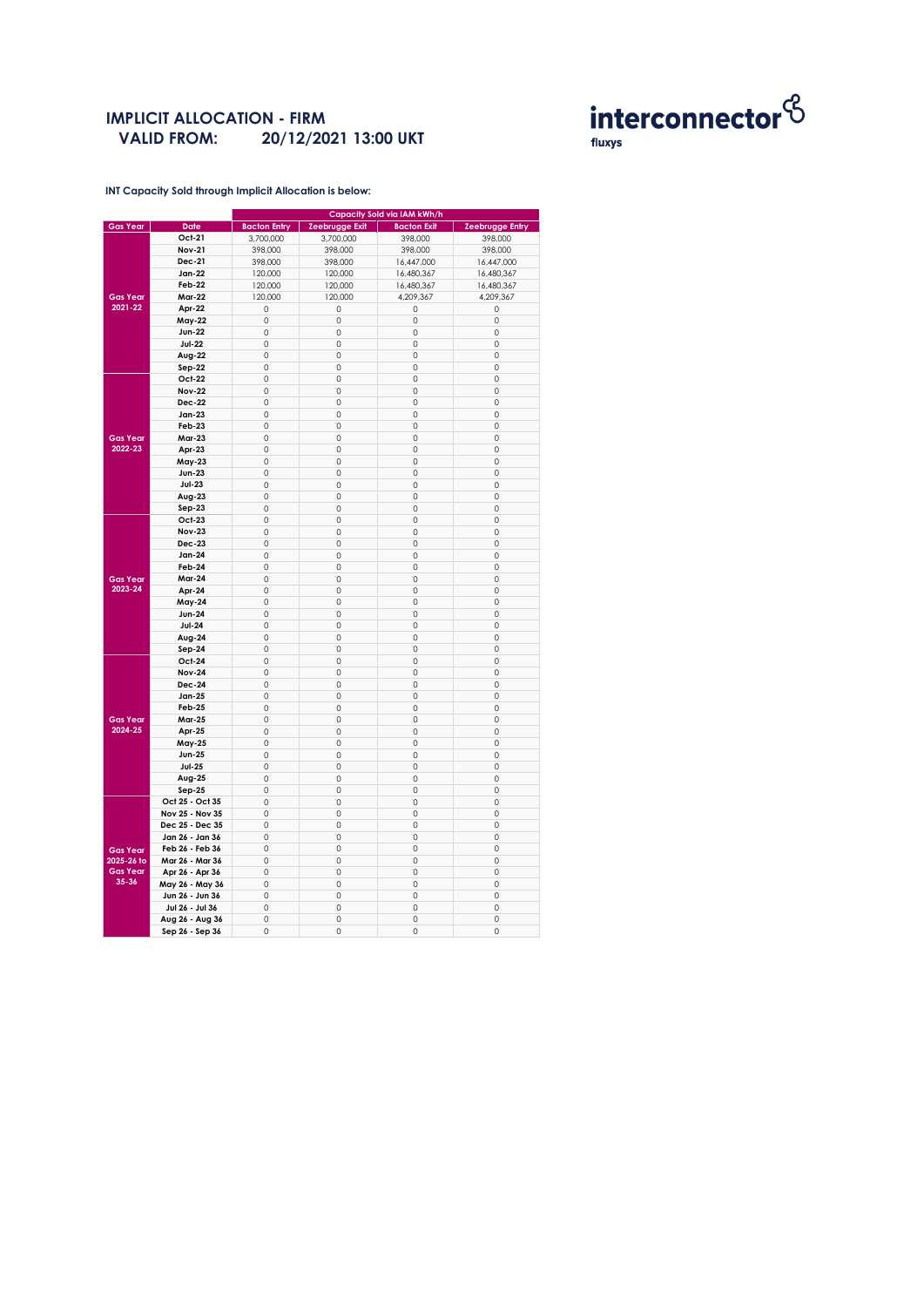### **IMPLICIT ALLOCATION - FIRM VALID FROM: 20/12/2021 13:00 UKT**



**INT Capacity Sold through Implicit Allocation is below:** 

| Gas Year        | <b>Date</b>     | <b>Bacton Entry</b> | Zeebrugge Exit      | <b>Bacton Exit</b>  | Zeebrugge Entry |
|-----------------|-----------------|---------------------|---------------------|---------------------|-----------------|
|                 | Oct-21          | 3,700,000           | 3,700,000           | 398,000             | 398,000         |
|                 | <b>Nov-21</b>   | 398,000             | 398,000             | 398,000             | 398,000         |
|                 |                 |                     |                     |                     |                 |
|                 | Dec-21          | 398,000             | 398,000             | 16,447,000          | 16,447,000      |
|                 | <b>Jan-22</b>   | 120,000             | 120,000             | 16,480,367          | 16,480,367      |
| <b>Gas Year</b> | Feb-22          | 120,000             | 120,000             | 16,480,367          | 16,480,367      |
|                 | <b>Mar-22</b>   | 120,000             | 120,000             | 4,209,367           | 4,209,367       |
| 2021-22         | Apr-22          | 0                   | $\circ$             | 0                   | $\circ$         |
|                 | <b>May-22</b>   | 0                   | 0                   | 0                   | $\circ$         |
|                 | <b>Jun-22</b>   | 0                   | 0                   | 0                   | 0               |
|                 | <b>Jul-22</b>   | 0                   | 0                   | 0                   | $\circ$         |
|                 | Aug-22          | 0                   | 0                   | 0                   | 0               |
|                 | Sep-22          | $\mathbf 0$         | $\circ$             | $\mathsf{O}\xspace$ | $\circ$         |
|                 |                 |                     |                     |                     |                 |
|                 | Oct-22          | 0                   | $\mathbf 0$         | 0                   | $\circ$         |
|                 | <b>Nov-22</b>   | 0                   | $\mathbf 0$         | $\mathbf 0$         | $\mathbf 0$     |
|                 | Dec-22          | 0                   | 0                   | 0                   | 0               |
|                 | Jan-23          | 0                   | 0                   | 0                   | 0               |
|                 | Feb-23          | 0                   | 0                   | 0                   | $\circ$         |
| <b>Gas Year</b> | <b>Mar-23</b>   | 0                   | $\mathsf{O}\xspace$ | 0                   | 0               |
| $2022 - 23$     | Apr-23          | 0                   | 0                   | $\mathbf 0$         | $\mathbf 0$     |
|                 | May-23          | 0                   | $\circ$             | 0                   | $\circ$         |
|                 | <b>Jun-23</b>   | 0                   | 0                   | $\circ$             | $\circ$         |
|                 |                 | 0                   | $\mathsf{O}\xspace$ | $\circ$             | $\circ$         |
|                 | <b>Jul-23</b>   |                     |                     |                     |                 |
|                 | Aug-23          | 0                   | 0                   | 0                   | 0               |
|                 | Sep-23          | 0                   | 0                   | 0                   | 0               |
|                 | Oct-23          | 0                   | $\circ$             | 0                   | $\circ$         |
|                 | <b>Nov-23</b>   | 0                   | $\mathsf{O}\xspace$ | 0                   | $\circ$         |
|                 | <b>Dec-23</b>   | 0                   | $\mathbf 0$         | 0                   | $\mathbf 0$     |
|                 | Jan-24          | 0                   | 0                   | 0                   | 0               |
|                 | Feb-24          | 0                   | $\mathsf{O}\xspace$ | $\circ$             | $\circ$         |
| <b>Gas Year</b> | <b>Mar-24</b>   | 0                   | $\mathsf{O}\xspace$ | $\circ$             | 0               |
| 2023-24         | Apr-24          | 0                   | $\mathsf{O}\xspace$ | 0                   | $\circ$         |
|                 | <b>May-24</b>   | 0                   | $\mathbf 0$         | $\mathbf 0$         | $\circ$         |
|                 | <b>Jun-24</b>   | $\mathbf 0$         | $\circ$             | $\mathbf 0$         | $\mathbf 0$     |
|                 | <b>Jul-24</b>   | 0                   | $\mathsf{O}\xspace$ | 0                   | $\circ$         |
|                 |                 |                     |                     |                     |                 |
|                 | Aug-24          | 0                   | $\mathbf 0$         | $\mathbf 0$         | $\mathbf 0$     |
|                 | Sep-24          | 0                   | $\mathsf{O}\xspace$ | 0                   | 0               |
|                 | Oct-24          | 0                   | 0                   | 0                   | 0               |
|                 | <b>Nov-24</b>   | 0                   | $\circ$             | 0                   | $\mathbb O$     |
|                 | <b>Dec-24</b>   | $\Omega$            | $\mathbf 0$         | $\mathbf 0$         | $\mathbf 0$     |
|                 | <b>Jan-25</b>   | 0                   | $\mathbf 0$         | $\mathbf 0$         | $\mathbf 0$     |
|                 | Feb-25          | 0                   | $\circ$             | $\mathbf 0$         | $\circ$         |
| <b>Gas Year</b> | <b>Mar-25</b>   | 0                   | 0                   | 0                   | $\circ$         |
| 2024-25         | Apr-25          | 0                   | 0                   | 0                   | $\circ$         |
|                 | May-25          | 0                   | 0                   | 0                   | 0               |
|                 | <b>Jun-25</b>   | 0                   | 0                   | 0                   | $\circ$         |
|                 | <b>Jul-25</b>   | 0                   | 0                   | 0                   | $\circ$         |
|                 | Aug-25          | $\mathbf 0$         | $\mathsf{O}\xspace$ | 0                   | $\circ$         |
|                 |                 |                     |                     |                     |                 |
|                 | $Sep-25$        | 0                   | $\mathbf 0$         | 0                   | $\mathbf 0$     |
|                 | Oct 25 - Oct 35 | 0                   | 0                   | 0                   | 0               |
|                 | Nov 25 - Nov 35 | 0                   | $\mathsf{O}\xspace$ | 0                   | $\circ$         |
|                 | Dec 25 - Dec 35 | 0                   | $\mathsf{O}\xspace$ | $\circ$             | $\circ$         |
| <b>Gas Year</b> | Jan 26 - Jan 36 | 0                   | $\mathsf{O}\xspace$ | 0                   | $\circ$         |
|                 | Feb 26 - Feb 36 | 0                   | $\mathbf 0$         | $\mathbf 0$         | $\circ$         |
| 2025-26 to      | Mar 26 - Mar 36 | $\mathbf 0$         | $\circ$             | $\mathbf 0$         | $\circ$         |
| <b>Gas Year</b> | Apr 26 - Apr 36 | 0                   | $\mathsf{O}\xspace$ | 0                   | $\circ$         |
| 35-36           | May 26 - May 36 | 0                   | $\mathsf{O}\xspace$ | 0                   | 0               |
|                 | Jun 26 - Jun 36 | 0                   | $\mathsf{O}\xspace$ | 0                   | $\circ$         |
|                 | Jul 26 - Jul 36 | 0                   | $\mathsf{O}\xspace$ | 0                   | $\circ$         |
|                 | Aug 26 - Aug 36 | 0                   | $\circ$             | $\circ$             | $\circ$         |
|                 | Sep 26 - Sep 36 | 0                   | 0                   | $\mathbf 0$         | O               |
|                 |                 |                     |                     |                     |                 |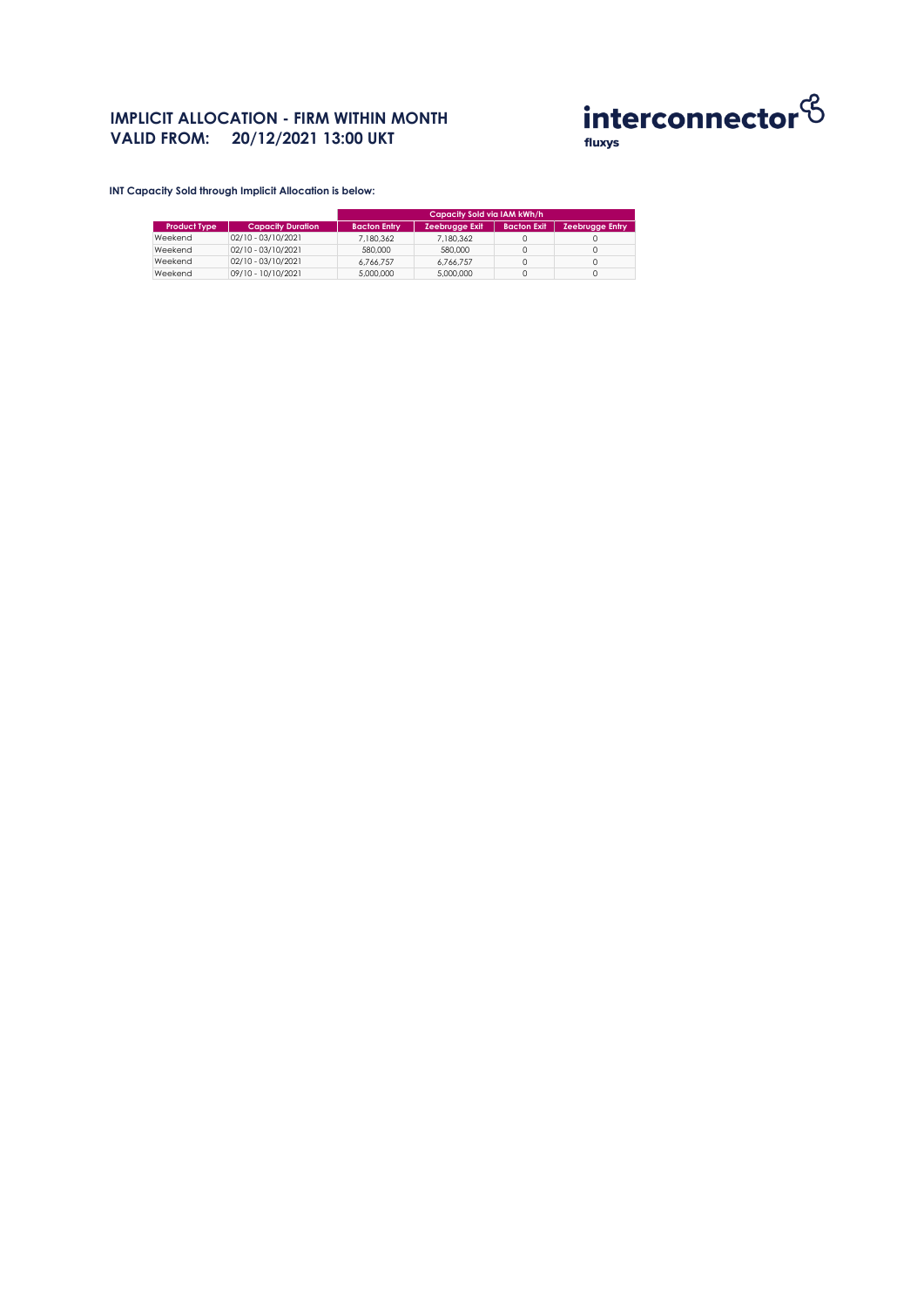### **IMPLICIT ALLOCATION - FIRM WITHIN MONTH VALID FROM: 20/12/2021 13:00 UKT**



**INT Capacity Sold through Implicit Allocation is below:** 

|                     |                          | Capacity Sold via IAM kWh/h |                       |                    |                        |  |
|---------------------|--------------------------|-----------------------------|-----------------------|--------------------|------------------------|--|
| <b>Product Type</b> | <b>Capacity Duration</b> | <b>Bacton Entry</b>         | <b>Zeebrugge Exit</b> | <b>Bacton Exit</b> | <b>Zeebrugge Entry</b> |  |
| Weekend             | $02/10 - 03/10/2021$     | 7.180.362                   | 7.180.362             |                    |                        |  |
| Weekend             | $02/10 - 03/10/2021$     | 580,000                     | 580,000               |                    |                        |  |
| Weekend             | $02/10 - 03/10/2021$     | 6.766.757                   | 6.766.757             |                    |                        |  |
| Weekend             | 09/10 - 10/10/2021       | 5,000,000                   | 5,000,000             |                    |                        |  |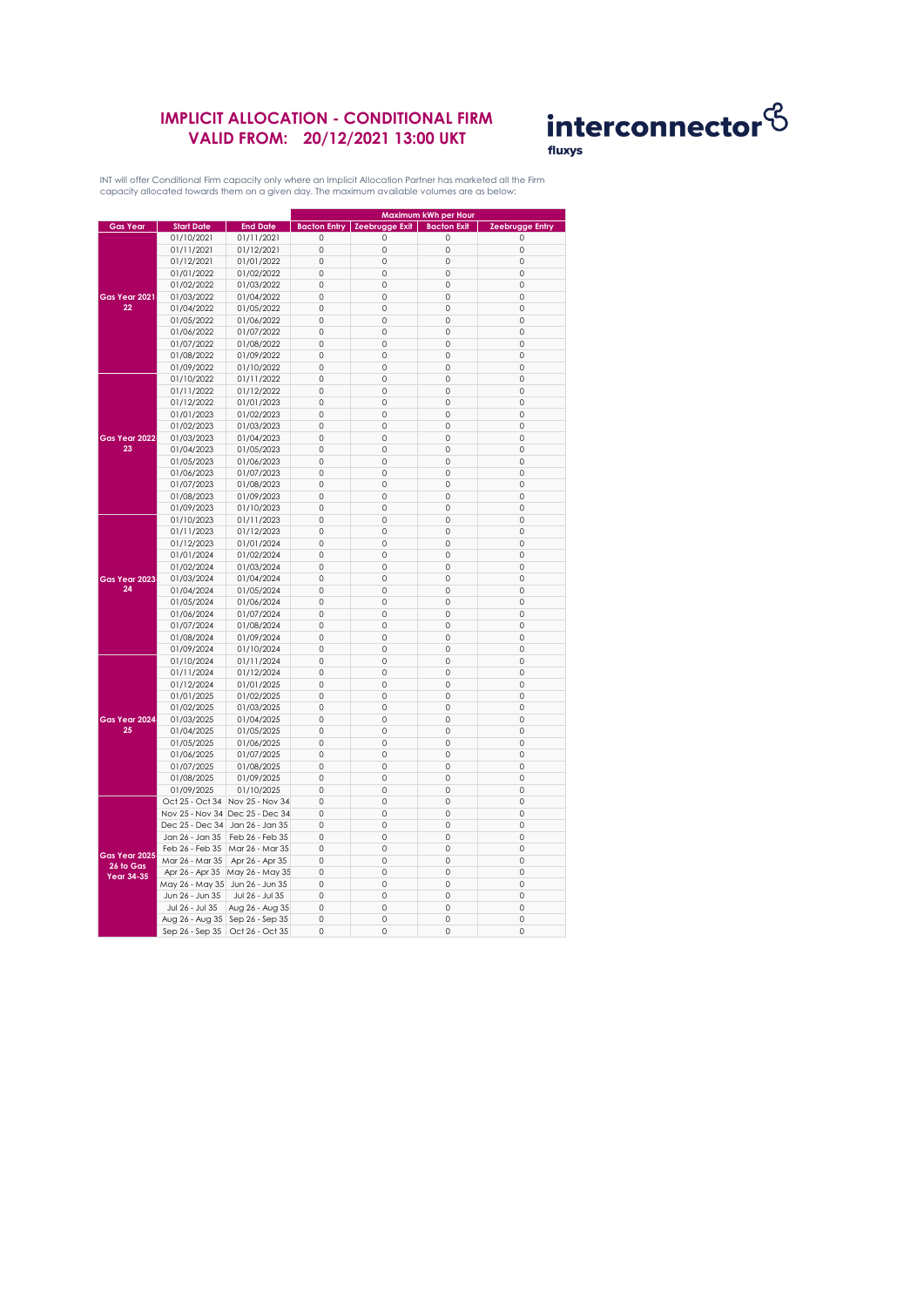## **IMPLICIT ALLOCATION - CONDITIONAL FIRM VALID FROM: 20/12/2021 13:00 UKT**



INT will offer Conditional Firm capacity only where an Implicit Allocation Partner has marketed all the Firm capacity allocated towards them on a given day. The maximum available volumes are as below:

|                                                 |                                 |                                 |                     |                                        | Maximum kWh per Hour |                        |
|-------------------------------------------------|---------------------------------|---------------------------------|---------------------|----------------------------------------|----------------------|------------------------|
| <b>Gas Year</b>                                 | <b>Start Date</b>               | <b>End Date</b>                 |                     | <b>Bacton Entry   Zeebrugge Exit  </b> | <b>Bacton Exit</b>   | <b>Zeebrugge Entry</b> |
|                                                 | 01/10/2021                      | 01/11/2021                      | $\circ$             | 0                                      | $\circ$              | $\mathbf 0$            |
|                                                 | 01/11/2021                      | 01/12/2021                      | $\circ$             | 0                                      | 0                    | $\mathbf 0$            |
|                                                 | 01/12/2021                      | 01/01/2022                      | 0                   | 0                                      | 0                    | 0                      |
|                                                 |                                 |                                 | 0                   | 0                                      | 0                    | $\mathbf 0$            |
| Gas Year 2021<br>22                             | 01/01/2022                      | 01/02/2022                      |                     |                                        |                      |                        |
|                                                 | 01/02/2022                      | 01/03/2022                      | $\circ$             | $\mathbf 0$                            | 0                    | $\mathbf 0$            |
|                                                 | 01/03/2022                      | 01/04/2022                      | 0                   | $\mathbb O$                            | 0                    | 0                      |
|                                                 | 01/04/2022                      | 01/05/2022                      | $\mathbf 0$         | $\mathbf 0$                            | $\circ$              | $\Omega$               |
|                                                 | 01/05/2022                      | 01/06/2022                      | $\circ$             | $\mathbf 0$                            | 0                    | 0                      |
|                                                 | 01/06/2022                      | 01/07/2022                      | $\mathsf{O}\xspace$ | $\circ$                                | 0                    | $\mathbf 0$            |
|                                                 | 01/07/2022                      | 01/08/2022                      | 0                   | 0                                      | 0                    | 0                      |
|                                                 | 01/08/2022                      | 01/09/2022                      | $\mathsf{O}\xspace$ | 0                                      | 0                    | $\mathbf 0$            |
|                                                 | 01/09/2022                      | 01/10/2022                      | 0                   | 0                                      | 0                    | $\mathbf 0$            |
|                                                 | 01/10/2022                      | 01/11/2022                      | $\mathsf{O}\xspace$ | $\mathbb O$                            | 0                    | $\mathbb O$            |
|                                                 | 01/11/2022                      | 01/12/2022                      | $\mathbf 0$         | 0                                      | $\circ$              | $\Omega$               |
|                                                 | 01/12/2022                      | 01/01/2023                      | $\circ$             | 0                                      | 0                    | 0                      |
|                                                 | 01/01/2023                      | 01/02/2023                      | $\mathsf{O}\xspace$ | 0                                      | 0                    | $\mathbf 0$            |
|                                                 | 01/02/2023                      | 01/03/2023                      | $\circ$             | $\mathbf 0$                            | 0                    | 0                      |
|                                                 |                                 |                                 |                     |                                        |                      | 0                      |
| Gas Year 2022<br>23                             | 01/03/2023                      | 01/04/2023                      | 0                   | 0                                      | 0                    |                        |
|                                                 | 01/04/2023                      | 01/05/2023                      | 0                   | 0                                      | 0                    | 0                      |
|                                                 | 01/05/2023                      | 01/06/2023                      | $\mathsf{O}\xspace$ | $\mathbb O$                            | 0                    | 0                      |
|                                                 | 01/06/2023                      | 01/07/2023                      | $\mathbf 0$         | $\mathbf 0$                            | $\circ$              | $\mathbf 0$            |
|                                                 | 01/07/2023                      | 01/08/2023                      | $\circ$             | $\mathbf 0$                            | 0                    | 0                      |
|                                                 | 01/08/2023                      | 01/09/2023                      | 0                   | $\circ$                                | 0                    | 0                      |
|                                                 | 01/09/2023                      | 01/10/2023                      | $\circ$             | 0                                      | 0                    | $\mathbf 0$            |
|                                                 | 01/10/2023                      | 01/11/2023                      | $\circ$             | $\mathbf 0$                            | 0                    | $\mathbf 0$            |
|                                                 | 01/11/2023                      | 01/12/2023                      | 0                   | 0                                      | 0                    | 0                      |
|                                                 | 01/12/2023                      | 01/01/2024                      | 0                   | 0                                      | 0                    | $\mathbf 0$            |
|                                                 | 01/01/2024                      | 01/02/2024                      | $\circ$             | $\mathbf 0$                            | 0                    | $\mathbf 0$            |
|                                                 | 01/02/2024                      | 01/03/2024                      | $\mathbf 0$         | $\mathbb O$                            | 0                    | $\mathbf 0$            |
| Gas Year 2023                                   | 01/03/2024                      | 01/04/2024                      | 0                   | 0                                      | 0                    | 0                      |
| 24                                              | 01/04/2024                      | 01/05/2024                      | $\circ$             | $\mathbf 0$                            | $\circ$              | $\mathbf 0$            |
|                                                 | 01/05/2024                      | 01/06/2024                      | 0                   | 0                                      | 0                    | $\mathbf 0$            |
|                                                 |                                 |                                 | 0                   | 0                                      | 0                    | 0                      |
|                                                 | 01/06/2024                      | 01/07/2024                      | 0                   | 0                                      | 0                    | $\mathbf 0$            |
|                                                 | 01/07/2024                      | 01/08/2024                      |                     |                                        |                      | $\mathbf 0$            |
|                                                 | 01/08/2024                      | 01/09/2024                      | $\circ$             | 0                                      | 0                    |                        |
|                                                 | 01/09/2024                      | 01/10/2024                      | 0                   | $\mathbb O$                            | 0                    | $\mathbb O$            |
|                                                 | 01/10/2024                      | 01/11/2024                      | $\mathbf 0$         | $\mathbf 0$                            | $\circ$              | $\Omega$               |
|                                                 | 01/11/2024                      | 01/12/2024                      | $\circ$             | $\mathbf 0$                            | 0                    | $\mathbf 0$            |
|                                                 | 01/12/2024                      | 01/01/2025                      | 0                   | 0                                      | 0                    | $\mathbf 0$            |
|                                                 | 01/01/2025                      | 01/02/2025                      | $\circ$             | 0                                      | 0                    | $\mathbf 0$            |
|                                                 | 01/02/2025                      | 01/03/2025                      | 0                   | 0                                      | 0                    | 0                      |
| Gas Year 2024                                   | 01/03/2025                      | 01/04/2025                      | 0                   | 0                                      | 0                    | $\mathbf 0$            |
| 25                                              | 01/04/2025                      | 01/05/2025                      | 0                   | $\mathbb O$                            | 0                    | $\mathsf{O}\xspace$    |
|                                                 | 01/05/2025                      | 01/06/2025                      | $\mathbf 0$         | $\mathbf 0$                            | $\circ$              | $\mathbf 0$            |
|                                                 | 01/06/2025                      | 01/07/2025                      | $\circ$             | 0                                      | 0                    | $\mathbf 0$            |
|                                                 | 01/07/2025                      | 01/08/2025                      | 0                   | $\circ$                                | 0                    | 0                      |
|                                                 | 01/08/2025                      | 01/09/2025                      | $\circ$             | 0                                      | 0                    | 0                      |
|                                                 | 01/09/2025                      | 01/10/2025                      | $\circ$             | 0                                      | 0                    | 0                      |
|                                                 | Oct 25 - Oct 34                 | Nov 25 - Nov 34                 | 0                   | 0                                      | 0                    | 0                      |
| Gas Year 2025<br>26 to Gas<br><b>Year 34-35</b> |                                 | Nov 25 - Nov 34 Dec 25 - Dec 34 | $\mathsf{O}\xspace$ | 0                                      | 0                    | $\mathbf 0$            |
|                                                 | Dec 25 - Dec 34                 | Jan 26 - Jan 35                 | $\circ$             | 0                                      | 0                    | $\mathbf 0$            |
|                                                 | Jan 26 - Jan 35                 |                                 | $\mathbf 0$         | $\mathbf 0$                            | 0                    | $\mathbf 0$            |
|                                                 |                                 | Feb 26 - Feb 35                 |                     |                                        |                      |                        |
|                                                 | Feb 26 - Feb 35                 | Mar 26 - Mar 35                 | $\mathsf{O}\xspace$ | 0                                      | 0                    | 0                      |
|                                                 | Mar 26 - Mar 35                 | Apr 26 - Apr 35                 | 0                   | 0                                      | 0                    | 0                      |
|                                                 | Apr 26 - Apr 35                 | May 26 - May 35                 | 0                   | 0                                      | 0                    | 0                      |
|                                                 | May 26 - May 35 Jun 26 - Jun 35 |                                 | 0                   | 0                                      | 0                    | 0                      |
|                                                 | Jun 26 - Jun 35                 | Jul 26 - Jul 35                 | $\mathsf{O}\xspace$ | 0                                      | 0                    | $\mathbf 0$            |
|                                                 | Jul 26 - Jul 35                 | Aug 26 - Aug 35                 | $\circ$             | 0                                      | 0                    | $\mathbf 0$            |
|                                                 | Aug 26 - Aug 35                 | Sep 26 - Sep 35                 | $\mathbf 0$         | 0                                      | 0                    | $\mathbf 0$            |
|                                                 | Sep 26 - Sep 35                 | Oct 26 - Oct 35                 | 0                   | 0                                      | $\circ$              | 0                      |